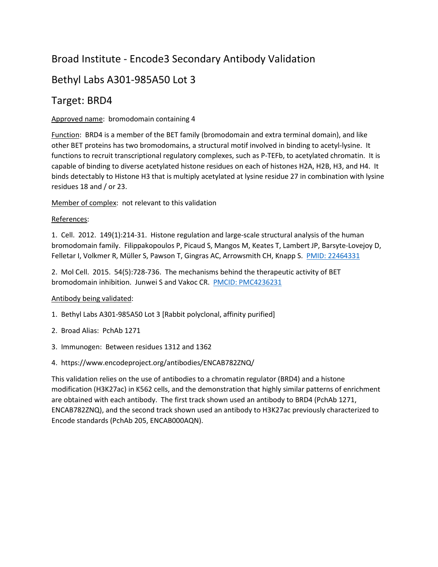# Broad Institute - Encode3 Secondary Antibody Validation

# Bethyl Labs A301-985A50 Lot 3

## Target: BRD4

### Approved name: bromodomain containing 4

Function: BRD4 is a member of the BET family (bromodomain and extra terminal domain), and like other BET proteins has two bromodomains, a structural motif involved in binding to acetyl-lysine. It functions to recruit transcriptional regulatory complexes, such as P-TEFb, to acetylated chromatin. It is capable of binding to diverse acetylated histone residues on each of histones H2A, H2B, H3, and H4. It binds detectably to Histone H3 that is multiply acetylated at lysine residue 27 in combination with lysine residues 18 and / or 23.

Member of complex: not relevant to this validation

#### References:

1. Cell. 2012. 149(1):214-31. Histone regulation and large-scale structural analysis of the human bromodomain family. Filippakopoulos P, Picaud S, Mangos M, Keates T, Lambert JP, Barsyte-Lovejoy D, Felletar I, Volkmer R, Müller S, Pawson T, Gingras AC, Arrowsmith CH, Knapp S. [PMID: 22464331](https://www.ncbi.nlm.nih.gov/pubmed/22464331)

2. Mol Cell. 2015. 54(5):728-736. The mechanisms behind the therapeutic activity of BET bromodomain inhibition. Junwei S and Vakoc CR. [PMCID: PMC4236231](https://www.ncbi.nlm.nih.gov/pmc/articles/PMC4236231/)

### Antibody being validated:

- 1. Bethyl Labs A301-985A50 Lot 3 [Rabbit polyclonal, affinity purified]
- 2. Broad Alias: PchAb 1271
- 3. Immunogen: Between residues 1312 and 1362
- 4. https://www.encodeproject.org/antibodies/ENCAB782ZNQ/

This validation relies on the use of antibodies to a chromatin regulator (BRD4) and a histone modification (H3K27ac) in K562 cells, and the demonstration that highly similar patterns of enrichment are obtained with each antibody. The first track shown used an antibody to BRD4 (PchAb 1271, ENCAB782ZNQ), and the second track shown used an antibody to H3K27ac previously characterized to Encode standards (PchAb 205, ENCAB000AQN).